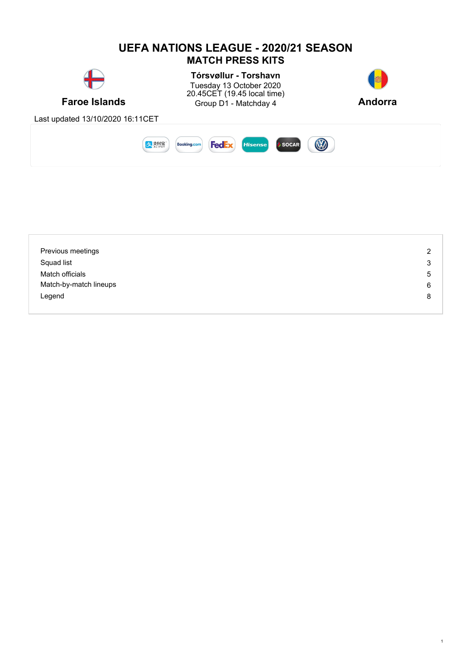

| Previous meetings      | 2 |
|------------------------|---|
| Squad list             | 3 |
| Match officials        | 5 |
| Match-by-match lineups | 6 |
| Legend                 | 8 |
|                        |   |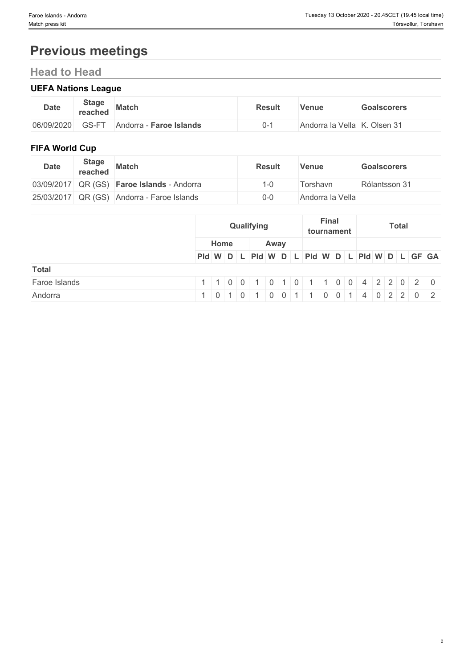# **Previous meetings**

## **Head to Head**

## **UEFA Nations League**

| <b>Date</b> | <b>Stage</b><br>reached            | <b>Match</b>                    | <b>Result</b> | Venue            | <b>Goalscorers</b>   |
|-------------|------------------------------------|---------------------------------|---------------|------------------|----------------------|
| 06/09/2020  | $\sim$ $\sim$ $\sim$ $\sim$<br>∼-' | <b>Faroe Islands</b><br>Andorra |               | Andorra la Vella | . Olsen 31<br>$\sim$ |

## **FIFA World Cup**

| <b>Date</b> | <b>Stage</b><br>reached | <b>Match</b>                               | <b>Result</b> | <b>Venue</b>     | <b>Goalscorers</b> |
|-------------|-------------------------|--------------------------------------------|---------------|------------------|--------------------|
|             |                         | 03/09/2017 QR (GS) Faroe Islands - Andorra | i -0          | ⊺orshavn         | Rólantsson 31      |
|             |                         | 25/03/2017 QR (GS) Andorra - Faroe Islands | $0 - 0$       | Andorra la Vella |                    |

|               |                                               |                            |                | Qualifying |                |                  | Final<br>tournament |  |                                        | <b>Total</b> |  |  |
|---------------|-----------------------------------------------|----------------------------|----------------|------------|----------------|------------------|---------------------|--|----------------------------------------|--------------|--|--|
|               |                                               | Home                       |                |            | Away           |                  |                     |  |                                        |              |  |  |
|               | PId W D L PId W D L PId W D L PId W D L GF GA |                            |                |            |                |                  |                     |  |                                        |              |  |  |
| <b>Total</b>  |                                               |                            |                |            |                |                  |                     |  |                                        |              |  |  |
| Faroe Islands |                                               | $\overline{\phantom{0}}$ 1 |                |            |                |                  |                     |  | $ 0 0 1 0 1 0 1 0 1 1 0 0 4 2 2 0 2 0$ |              |  |  |
| Andorra       |                                               |                            | $\overline{0}$ |            | 0 <sup>1</sup> | $\blacksquare$ 1 |                     |  | 4 0 2 2 0 2                            |              |  |  |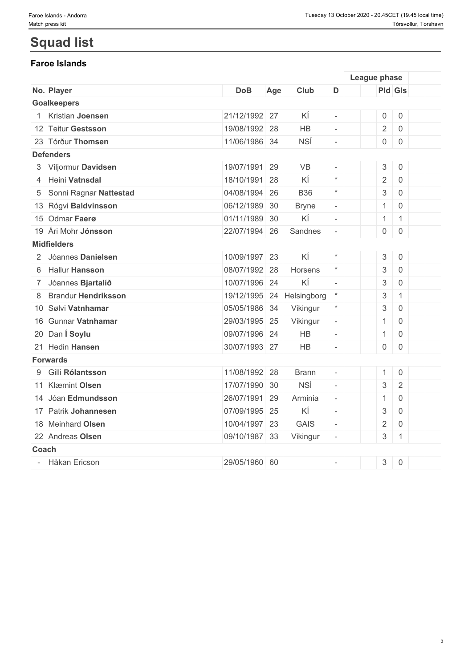## **Squad list**

## **Faroe Islands**

|             |                            |               |     |              |                          | League phase              |                     |  |
|-------------|----------------------------|---------------|-----|--------------|--------------------------|---------------------------|---------------------|--|
|             | No. Player                 | <b>DoB</b>    | Age | Club         | D                        | <b>Pld Gls</b>            |                     |  |
|             | <b>Goalkeepers</b>         |               |     |              |                          |                           |                     |  |
|             | Kristian Joensen           | 21/12/1992 27 |     | KÍ           | $\overline{\phantom{a}}$ | $\mathsf{O}$              | $\mathsf{O}$        |  |
|             | 12 Teitur Gestsson         | 19/08/1992 28 |     | <b>HB</b>    | $\equiv$                 | $\overline{2}$            | $\mathsf{O}$        |  |
|             | 23 Tórður Thomsen          | 11/06/1986 34 |     | <b>NSÍ</b>   | $\sim$                   | $\overline{0}$            | $\mathsf{O}$        |  |
|             | <b>Defenders</b>           |               |     |              |                          |                           |                     |  |
|             | 3 Viljormur Davidsen       | 19/07/1991 29 |     | <b>VB</b>    |                          | $\mathsf 3$               | $\mathsf{O}\xspace$ |  |
|             | 4 Heini Vatnsdal           | 18/10/1991 28 |     | ΚÍ           | $\star$                  | $\overline{2}$            | $\mathbf 0$         |  |
| 5           | Sonni Ragnar Nattestad     | 04/08/1994 26 |     | <b>B36</b>   | $\star$                  | $\ensuremath{\mathsf{3}}$ | $\mathsf{O}\xspace$ |  |
|             | 13 Rógvi Baldvinsson       | 06/12/1989 30 |     | <b>Bryne</b> | $\overline{\phantom{a}}$ | $\mathbf{1}$              | $\overline{0}$      |  |
|             | 15 Odmar Faerø             | 01/11/1989 30 |     | ΚÍ           | $\mathcal{L}$            | $\mathbf{1}$              | $\mathbf{1}$        |  |
|             | 19 Ári Mohr Jónsson        | 22/07/1994 26 |     | Sandnes      | $\overline{\phantom{a}}$ | $\overline{0}$            | $\mathsf{O}$        |  |
|             | <b>Midfielders</b>         |               |     |              |                          |                           |                     |  |
|             | 2 Jóannes Danielsen        | 10/09/1997 23 |     | ΚÍ           | $\star$                  | $\sqrt{3}$                | $\mathbf 0$         |  |
| 6           | <b>Hallur Hansson</b>      | 08/07/1992 28 |     | Horsens      | $\star$                  | $\sqrt{3}$                | $\mathsf{O}\xspace$ |  |
| $7^{\circ}$ | Jóannes Bjartalíð          | 10/07/1996 24 |     | ΚÍ           | $\sim$                   | $\mathfrak{S}$            | $\mathsf{O}\xspace$ |  |
| 8           | <b>Brandur Hendriksson</b> | 19/12/1995 24 |     | Helsingborg  | $\ast$                   | $\ensuremath{\mathbf{3}}$ | $\mathbf{1}$        |  |
|             | 10 Sølvi Vatnhamar         | 05/05/1986 34 |     | Vikingur     | $\star$                  | $\ensuremath{\mathbf{3}}$ | $\overline{0}$      |  |
|             | 16 Gunnar Vatnhamar        | 29/03/1995 25 |     | Vikingur     | $\overline{\phantom{a}}$ | $\mathbf{1}$              | $\mathbf 0$         |  |
|             | 20 Dan Í Soylu             | 09/07/1996 24 |     | <b>HB</b>    | $\equiv$                 | $\mathbf{1}$              | $\overline{0}$      |  |
|             | 21 Hedin Hansen            | 30/07/1993 27 |     | HB           | $\sim$                   | $\overline{0}$            | $\mathsf{O}$        |  |
|             | <b>Forwards</b>            |               |     |              |                          |                           |                     |  |
| 9           | Gilli Rólantsson           | 11/08/1992 28 |     | <b>Brann</b> | $\overline{\phantom{a}}$ | $\mathbf{1}$              | $\mathsf{O}\xspace$ |  |
|             | 11 Klæmint Olsen           | 17/07/1990 30 |     | <b>NSÍ</b>   | $\mathbb{L}$             | $\mathsf 3$               | $\sqrt{2}$          |  |
|             | 14 Jóan Edmundsson         | 26/07/1991 29 |     | Arminia      | $\overline{\phantom{a}}$ | $\mathbf{1}$              | $\boldsymbol{0}$    |  |
|             | 17 Patrik Johannesen       | 07/09/1995 25 |     | ΚÍ           | $\overline{\phantom{a}}$ | $\sqrt{3}$                | $\mathsf{O}$        |  |
|             | 18 Meinhard Olsen          | 10/04/1997 23 |     | <b>GAIS</b>  | $\equiv$                 | $\overline{2}$            | $\mathbf 0$         |  |
|             | 22 Andreas Olsen           | 09/10/1987 33 |     | Vikingur     | $\overline{\phantom{a}}$ | 3                         | $\mathbf{1}$        |  |
| Coach       |                            |               |     |              |                          |                           |                     |  |
|             | - Håkan Ericson            | 29/05/1960 60 |     |              | $\sim$                   | 3                         | $\mathbf 0$         |  |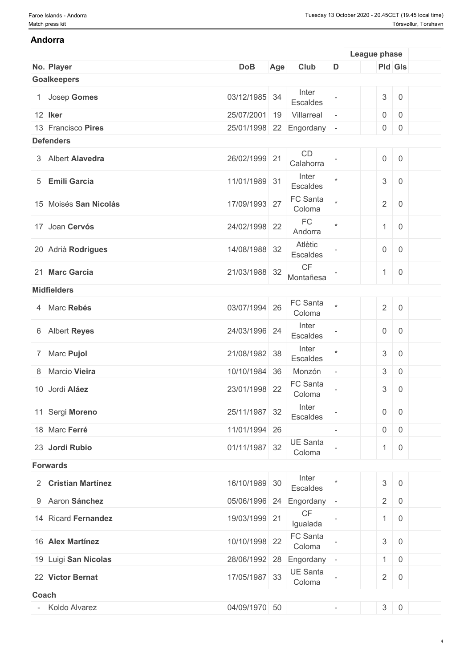#### **Andorra**

|       |                       |                         |     |                                    |                          | League phase              |                     |  |
|-------|-----------------------|-------------------------|-----|------------------------------------|--------------------------|---------------------------|---------------------|--|
|       | No. Player            | <b>DoB</b>              | Age | Club                               | D                        | <b>Pld Gls</b>            |                     |  |
|       | <b>Goalkeepers</b>    |                         |     |                                    |                          |                           |                     |  |
|       | 1 Josep Gomes         | 03/12/1985 34           |     | Inter<br>Escaldes                  |                          | $\sqrt{3}$                | $\mathsf{O}$        |  |
|       | 12 Iker               | 25/07/2001              | 19  | Villarreal                         |                          | $\mathsf{O}\xspace$       | $\mathsf{O}\xspace$ |  |
|       | 13 Francisco Pires    | 25/01/1998 22 Engordany |     |                                    | $\overline{\phantom{a}}$ | $\overline{0}$            | $\mathsf{O}\xspace$ |  |
|       | <b>Defenders</b>      |                         |     |                                    |                          |                           |                     |  |
|       | 3 Albert Alavedra     | 26/02/1999 21           |     | CD<br>Calahorra                    |                          | $\mathsf{O}\xspace$       | $\mathsf{O}\xspace$ |  |
|       | 5 Emili Garcia        | 11/01/1989 31           |     | Inter<br>Escaldes                  | $\star$                  | $\ensuremath{\mathsf{3}}$ | $\overline{0}$      |  |
|       | 15 Moisés San Nicolás | 17/09/1993 27           |     | FC Santa<br>Coloma                 |                          | $\overline{2}$            | $\overline{0}$      |  |
|       | 17 Joan Cervós        | 24/02/1998 22           |     | FC<br>Andorra                      | $\star$                  | $\overline{1}$            | $\overline{0}$      |  |
|       | 20 Adrià Rodrigues    | 14/08/1988 32           |     | Atlètic<br>Escaldes                |                          | $\overline{0}$            | $\mathsf{O}$        |  |
|       | 21 Marc Garcia        | 21/03/1988 32           |     | $\mathsf{CF}$<br>Montañesa         |                          | $\mathbf{1}$              | $\mathbf 0$         |  |
|       | <b>Midfielders</b>    |                         |     |                                    |                          |                           |                     |  |
|       | 4 Marc Rebés          | 03/07/1994 26           |     | FC Santa<br>Coloma                 | $\star$                  | $\overline{2}$            | $\mathsf{O}$        |  |
|       | 6 Albert Reyes        | 24/03/1996 24           |     | Inter<br>Escaldes                  |                          | $\overline{0}$            | $\mathsf{O}\xspace$ |  |
|       | 7 Marc Pujol          | 21/08/1982 38           |     | Inter<br>Escaldes                  | $\star$                  | $\ensuremath{\mathsf{3}}$ | $\mathsf{O}$        |  |
|       | 8 Marcio Vieira       | 10/10/1984 36           |     | Monzón                             | $\overline{\phantom{a}}$ | $\ensuremath{\mathsf{3}}$ | $\mathsf{O}\xspace$ |  |
|       | 10 Jordi Aláez        | 23/01/1998 22           |     | FC Santa<br>Coloma                 |                          | $\ensuremath{\mathsf{3}}$ | $\mathsf{O}\xspace$ |  |
|       | 11 Sergi Moreno       | 25/11/1987 32           |     | Inter<br>Escaldes                  |                          | $\mathsf{O}\xspace$       | $\mathsf{O}$        |  |
|       | 18 Marc Ferré         | 11/01/1994 26           |     |                                    |                          | $\overline{0}$            | $\boldsymbol{0}$    |  |
|       | 23 Jordi Rubio        | 01/11/1987 32           |     | <b>UE Santa</b><br>Coloma          |                          | $\mathbf{1}$              | $\mathbf 0$         |  |
|       | <b>Forwards</b>       |                         |     |                                    |                          |                           |                     |  |
|       | 2 Cristian Martínez   | 16/10/1989 30           |     | Inter<br>Escaldes                  |                          | $\mathfrak{S}$            | $\mathsf 0$         |  |
|       | 9 Aaron Sánchez       |                         |     | 05/06/1996 24 Engordany            | $\overline{\phantom{a}}$ | $\overline{2}$            | $\boldsymbol{0}$    |  |
|       | 14 Ricard Fernandez   | 19/03/1999 21           |     | $\mathsf{C}\mathsf{F}$<br>Igualada |                          | $\mathbf{1}$              | $\overline{0}$      |  |
|       | 16 Alex Martínez      | 10/10/1998 22           |     | FC Santa<br>Coloma                 |                          | $\mathfrak{S}$            | $\mathsf 0$         |  |
|       | 19 Luigi San Nicolas  | 28/06/1992 28           |     | Engordany                          | $\overline{\phantom{a}}$ | 1                         | $\mathsf{O}$        |  |
|       | 22 Victor Bernat      | 17/05/1987 33           |     | UE Santa<br>Coloma                 |                          | $\overline{2}$            | $\mathsf{O}$        |  |
| Coach |                       |                         |     |                                    |                          |                           |                     |  |
|       | Koldo Alvarez         | 04/09/1970 50           |     |                                    | $\overline{\phantom{a}}$ | $3 \ 0$                   |                     |  |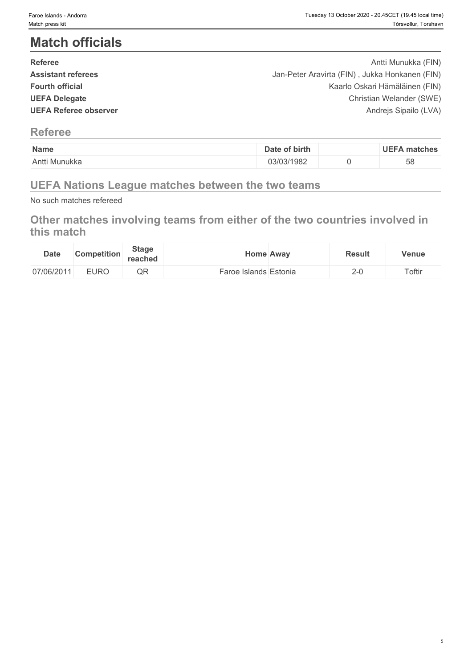## **Match officials**

| <b>Referee</b>            | Antti Munukka (FIN)                            |  |
|---------------------------|------------------------------------------------|--|
| <b>Assistant referees</b> | Jan-Peter Aravirta (FIN), Jukka Honkanen (FIN) |  |
| <b>Fourth official</b>    | Kaarlo Oskari Hämäläinen (FIN)                 |  |
| <b>UEFA Delegate</b>      | Christian Welander (SWE)                       |  |
| UEFA Referee observer     | Andrejs Sipailo (LVA)                          |  |
|                           |                                                |  |

### **Referee**

| Name          | of birth<br>Date | <b>UEFA</b><br>∖ matches |
|---------------|------------------|--------------------------|
| Antti Munukka | 03/03/1982       | 58                       |

## **UEFA Nations League matches between the two teams**

No such matches refereed

## **Other matches involving teams from either of the two countries involved in this match**

| <b>Date</b> | <b>Competition</b> | <b>Stage</b><br>reached | <b>Home Away</b> |                          | <b>Result</b> | Venue  |
|-------------|--------------------|-------------------------|------------------|--------------------------|---------------|--------|
| 07/06/2011  | FIDQ               |                         | e Islands F      | $\overline{\phantom{0}}$ | $2 - 0$       | Toftir |
|             | EURU               | QR                      | Faroe            | Estonia                  |               |        |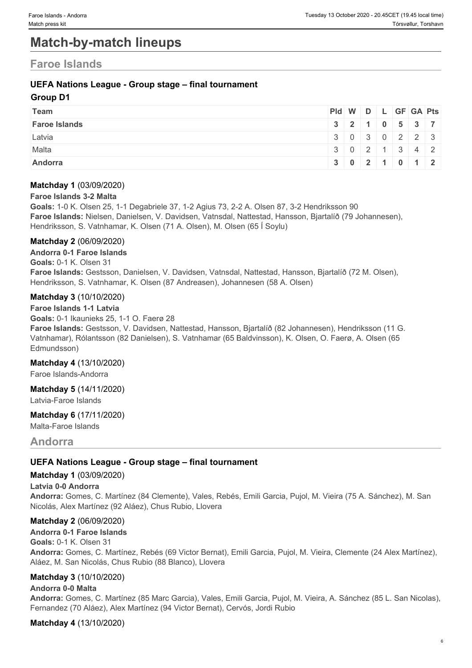## **Match-by-match lineups**

## **Faroe Islands**

#### **UEFA Nations League - Group stage – final tournament**

#### **Group D1**

| Team                 | $PId \mid W \mid D \mid L \mid GF \mid GA \mid Pts \mid$ |                                                    |  |  |  |
|----------------------|----------------------------------------------------------|----------------------------------------------------|--|--|--|
| <b>Faroe Islands</b> | 3 2 1 0 5 3 7                                            |                                                    |  |  |  |
| Latvia               |                                                          | 3030223                                            |  |  |  |
| Malta                |                                                          | $3 \mid 0 \mid 2 \mid 1 \mid 3 \mid 4 \mid 2 \mid$ |  |  |  |
| Andorra              |                                                          | $3 \mid 0 \mid 2 \mid 1 \mid 0 \mid 1 \mid 2 \mid$ |  |  |  |

#### **Matchday 1** (03/09/2020)

#### **Faroe Islands 3-2 Malta**

**Goals:** 1-0 K. Olsen 25, 1-1 Degabriele 37, 1-2 Agius 73, 2-2 A. Olsen 87, 3-2 Hendriksson 90 **Faroe Islands:** Nielsen, Danielsen, V. Davidsen, Vatnsdal, Nattestad, Hansson, Bjartalíð (79 Johannesen), Hendriksson, S. Vatnhamar, K. Olsen (71 A. Olsen), M. Olsen (65 Í Soylu)

#### **Matchday 2** (06/09/2020)

**Andorra 0-1 Faroe Islands Goals:** 0-1 K. Olsen 31 **Faroe Islands:** Gestsson, Danielsen, V. Davidsen, Vatnsdal, Nattestad, Hansson, Bjartalíð (72 M. Olsen), Hendriksson, S. Vatnhamar, K. Olsen (87 Andreasen), Johannesen (58 A. Olsen)

#### **Matchday 3** (10/10/2020)

**Faroe Islands 1-1 Latvia Goals:** 0-1 Ikaunieks 25, 1-1 O. Faerø 28 **Faroe Islands:** Gestsson, V. Davidsen, Nattestad, Hansson, Bjartalíð (82 Johannesen), Hendriksson (11 G. Vatnhamar), Rólantsson (82 Danielsen), S. Vatnhamar (65 Baldvinsson), K. Olsen, O. Faerø, A. Olsen (65 Edmundsson)

#### **Matchday 4** (13/10/2020)

Faroe Islands-Andorra

**Matchday 5** (14/11/2020) Latvia-Faroe Islands

### **Matchday 6** (17/11/2020)

Malta-Faroe Islands

**Andorra**

#### **UEFA Nations League - Group stage – final tournament**

#### **Matchday 1** (03/09/2020)

#### **Latvia 0-0 Andorra**

**Andorra:** Gomes, C. Martínez (84 Clemente), Vales, Rebés, Emili Garcia, Pujol, M. Vieira (75 A. Sánchez), M. San Nicolás, Alex Martínez (92 Aláez), Chus Rubio, Llovera

#### **Matchday 2** (06/09/2020)

**Andorra 0-1 Faroe Islands Goals:** 0-1 K. Olsen 31 **Andorra:** Gomes, C. Martínez, Rebés (69 Victor Bernat), Emili Garcia, Pujol, M. Vieira, Clemente (24 Alex Martínez), Aláez, M. San Nicolás, Chus Rubio (88 Blanco), Llovera

#### **Matchday 3** (10/10/2020)

#### **Andorra 0-0 Malta**

**Andorra:** Gomes, C. Martínez (85 Marc Garcia), Vales, Emili Garcia, Pujol, M. Vieira, A. Sánchez (85 L. San Nicolas), Fernandez (70 Aláez), Alex Martínez (94 Victor Bernat), Cervós, Jordi Rubio

#### **Matchday 4** (13/10/2020)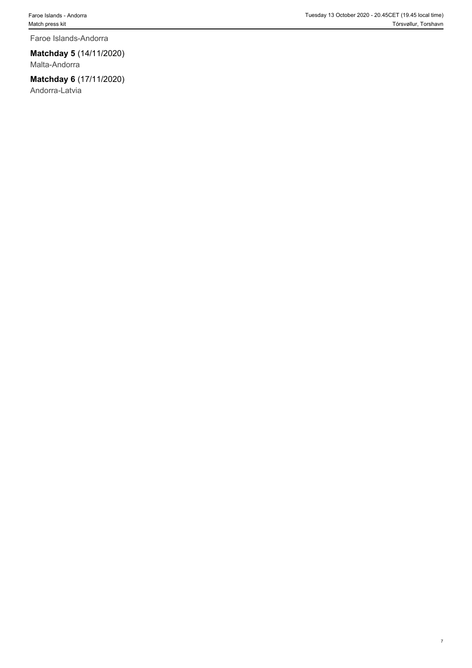Faroe Islands-Andorra

#### **Matchday 5** (14/11/2020)

Malta-Andorra

### **Matchday 6** (17/11/2020)

Andorra-Latvia

7